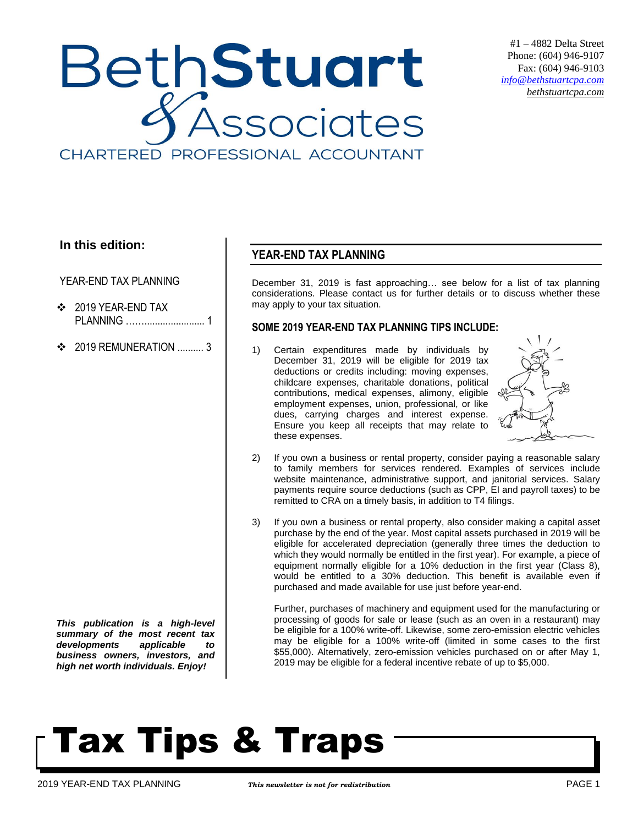

#1 – 4882 Delta Street Phone: (604) 946-9107 Fax: (604) 946-9103 *[info@bethstuartcpa.com](mailto:info@bethstuartcpa.com) bethstuartcpa.com*

### **In this edition:**

YEAR-END TAX PLANNING

- ❖ 2019 YEAR-END TAX PLANNING ……....................... 1
- $\div$  2019 REMUNERATION 3

*This publication is a high-level summary of the most recent tax developments applicable to business owners, investors, and high net worth individuals. Enjoy!*

### **YEAR-END TAX PLANNING**

December 31, 2019 is fast approaching… see below for a list of tax planning considerations. Please contact us for further details or to discuss whether these may apply to your tax situation.

### **SOME 2019 YEAR-END TAX PLANNING TIPS INCLUDE:**

1) Certain expenditures made by individuals by December 31, 2019 will be eligible for 2019 tax deductions or credits including: moving expenses, childcare expenses, charitable donations, political contributions, medical expenses, alimony, eligible employment expenses, union, professional, or like dues, carrying charges and interest expense. Ensure you keep all receipts that may relate to these expenses.



- 2) If you own a business or rental property, consider paying a reasonable salary to family members for services rendered. Examples of services include website maintenance, administrative support, and janitorial services. Salary payments require source deductions (such as CPP, EI and payroll taxes) to be remitted to CRA on a timely basis, in addition to T4 filings.
- 3) If you own a business or rental property, also consider making a capital asset purchase by the end of the year. Most capital assets purchased in 2019 will be eligible for accelerated depreciation (generally three times the deduction to which they would normally be entitled in the first year). For example, a piece of equipment normally eligible for a 10% deduction in the first year (Class 8), would be entitled to a 30% deduction. This benefit is available even if purchased and made available for use just before year-end.

Further, purchases of machinery and equipment used for the manufacturing or processing of goods for sale or lease (such as an oven in a restaurant) may be eligible for a 100% write-off. Likewise, some zero-emission electric vehicles may be eligible for a 100% write-off (limited in some cases to the first \$55,000). Alternatively, zero-emission vehicles purchased on or after May 1, 2019 may be eligible for a federal incentive rebate of up to \$5,000.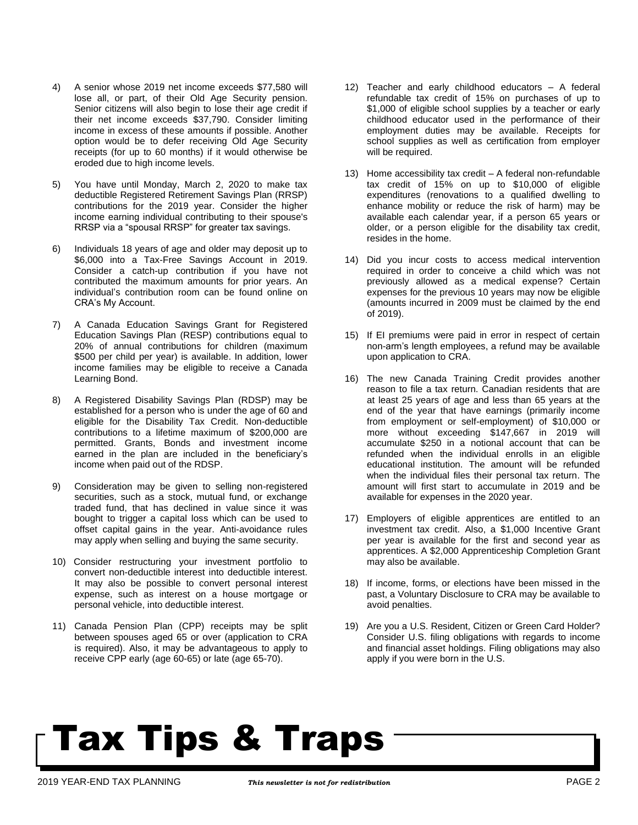- 4) A senior whose 2019 net income exceeds \$77,580 will lose all, or part, of their Old Age Security pension. Senior citizens will also begin to lose their age credit if their net income exceeds \$37,790. Consider limiting income in excess of these amounts if possible. Another option would be to defer receiving Old Age Security receipts (for up to 60 months) if it would otherwise be eroded due to high income levels.
- 5) You have until Monday, March 2, 2020 to make tax deductible Registered Retirement Savings Plan (RRSP) contributions for the 2019 year. Consider the higher income earning individual contributing to their spouse's RRSP via a "spousal RRSP" for greater tax savings.
- 6) Individuals 18 years of age and older may deposit up to \$6,000 into a Tax-Free Savings Account in 2019. Consider a catch-up contribution if you have not contributed the maximum amounts for prior years. An individual's contribution room can be found online on CRA's My Account.
- 7) A Canada Education Savings Grant for Registered Education Savings Plan (RESP) contributions equal to 20% of annual contributions for children (maximum \$500 per child per year) is available. In addition, lower income families may be eligible to receive a Canada Learning Bond.
- 8) A Registered Disability Savings Plan (RDSP) may be established for a person who is under the age of 60 and eligible for the Disability Tax Credit. Non-deductible contributions to a lifetime maximum of \$200,000 are permitted. Grants, Bonds and investment income earned in the plan are included in the beneficiary's income when paid out of the RDSP.
- 9) Consideration may be given to selling non-registered securities, such as a stock, mutual fund, or exchange traded fund, that has declined in value since it was bought to trigger a capital loss which can be used to offset capital gains in the year. Anti-avoidance rules may apply when selling and buying the same security.
- 10) Consider restructuring your investment portfolio to convert non-deductible interest into deductible interest. It may also be possible to convert personal interest expense, such as interest on a house mortgage or personal vehicle, into deductible interest.
- 11) Canada Pension Plan (CPP) receipts may be split between spouses aged 65 or over (application to CRA is required). Also, it may be advantageous to apply to receive CPP early (age 60-65) or late (age 65-70).
- 12) Teacher and early childhood educators A federal refundable tax credit of 15% on purchases of up to \$1,000 of eligible school supplies by a teacher or early childhood educator used in the performance of their employment duties may be available. Receipts for school supplies as well as certification from employer will be required.
- 13) Home accessibility tax credit A federal non-refundable tax credit of 15% on up to \$10,000 of eligible expenditures (renovations to a qualified dwelling to enhance mobility or reduce the risk of harm) may be available each calendar year, if a person 65 years or older, or a person eligible for the disability tax credit, resides in the home.
- 14) Did you incur costs to access medical intervention required in order to conceive a child which was not previously allowed as a medical expense? Certain expenses for the previous 10 years may now be eligible (amounts incurred in 2009 must be claimed by the end of 2019).
- 15) If EI premiums were paid in error in respect of certain non-arm's length employees, a refund may be available upon application to CRA.
- 16) The new Canada Training Credit provides another reason to file a tax return. Canadian residents that are at least 25 years of age and less than 65 years at the end of the year that have earnings (primarily income from employment or self-employment) of \$10,000 or more without exceeding \$147,667 in 2019 will accumulate \$250 in a notional account that can be refunded when the individual enrolls in an eligible educational institution. The amount will be refunded when the individual files their personal tax return. The amount will first start to accumulate in 2019 and be available for expenses in the 2020 year.
- 17) Employers of eligible apprentices are entitled to an investment tax credit. Also, a \$1,000 Incentive Grant per year is available for the first and second year as apprentices. A \$2,000 Apprenticeship Completion Grant may also be available.
- 18) If income, forms, or elections have been missed in the past, a Voluntary Disclosure to CRA may be available to avoid penalties.
- 19) Are you a U.S. Resident, Citizen or Green Card Holder? Consider U.S. filing obligations with regards to income and financial asset holdings. Filing obligations may also apply if you were born in the U.S.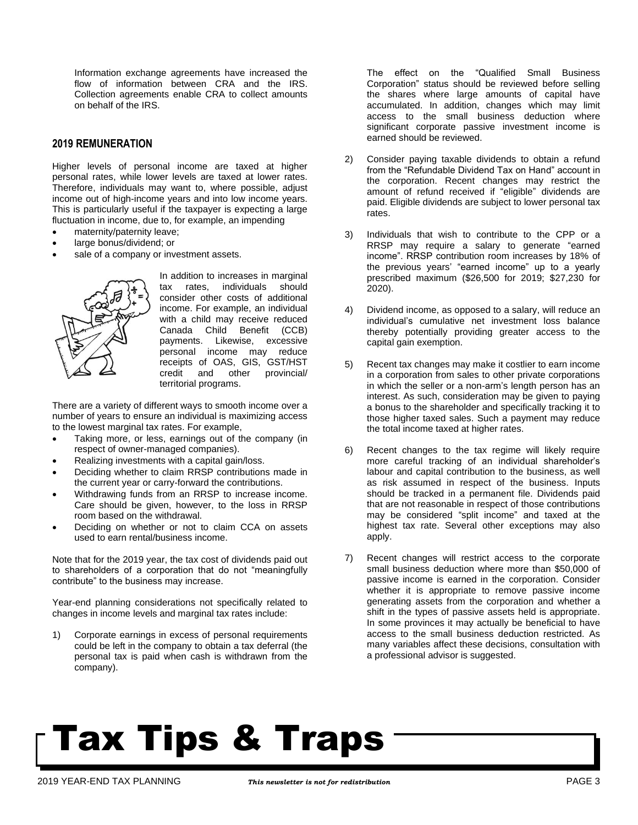Information exchange agreements have increased the flow of information between CRA and the IRS. Collection agreements enable CRA to collect amounts on behalf of the IRS.

#### **2019 REMUNERATION**

Higher levels of personal income are taxed at higher personal rates, while lower levels are taxed at lower rates. Therefore, individuals may want to, where possible, adjust income out of high-income years and into low income years. This is particularly useful if the taxpayer is expecting a large fluctuation in income, due to, for example, an impending

- maternity/paternity leave;
- large bonus/dividend; or
- sale of a company or investment assets.



In addition to increases in marginal tax rates, individuals should consider other costs of additional income. For example, an individual with a child may receive reduced Canada Child Benefit (CCB) payments. Likewise, excessive personal income may reduce receipts of OAS, GIS, GST/HST credit and other provincial/ territorial programs.

There are a variety of different ways to smooth income over a number of years to ensure an individual is maximizing access to the lowest marginal tax rates. For example,

- Taking more, or less, earnings out of the company (in respect of owner-managed companies).
- Realizing investments with a capital gain/loss.
- Deciding whether to claim RRSP contributions made in the current year or carry-forward the contributions.
- Withdrawing funds from an RRSP to increase income. Care should be given, however, to the loss in RRSP room based on the withdrawal.
- Deciding on whether or not to claim CCA on assets used to earn rental/business income.

Note that for the 2019 year, the tax cost of dividends paid out to shareholders of a corporation that do not "meaningfully contribute" to the business may increase.

Year-end planning considerations not specifically related to changes in income levels and marginal tax rates include:

1) Corporate earnings in excess of personal requirements could be left in the company to obtain a tax deferral (the personal tax is paid when cash is withdrawn from the company).

The effect on the "Qualified Small Business Corporation" status should be reviewed before selling the shares where large amounts of capital have accumulated. In addition, changes which may limit access to the small business deduction where significant corporate passive investment income is earned should be reviewed.

- 2) Consider paying taxable dividends to obtain a refund from the "Refundable Dividend Tax on Hand" account in the corporation. Recent changes may restrict the amount of refund received if "eligible" dividends are paid. Eligible dividends are subject to lower personal tax rates.
- 3) Individuals that wish to contribute to the CPP or a RRSP may require a salary to generate "earned income". RRSP contribution room increases by 18% of the previous years' "earned income" up to a yearly prescribed maximum (\$26,500 for 2019; \$27,230 for 2020).
- 4) Dividend income, as opposed to a salary, will reduce an individual's cumulative net investment loss balance thereby potentially providing greater access to the capital gain exemption.
- 5) Recent tax changes may make it costlier to earn income in a corporation from sales to other private corporations in which the seller or a non-arm's length person has an interest. As such, consideration may be given to paying a bonus to the shareholder and specifically tracking it to those higher taxed sales. Such a payment may reduce the total income taxed at higher rates.
- 6) Recent changes to the tax regime will likely require more careful tracking of an individual shareholder's labour and capital contribution to the business, as well as risk assumed in respect of the business. Inputs should be tracked in a permanent file. Dividends paid that are not reasonable in respect of those contributions may be considered "split income" and taxed at the highest tax rate. Several other exceptions may also apply.
- 7) Recent changes will restrict access to the corporate small business deduction where more than \$50,000 of passive income is earned in the corporation. Consider whether it is appropriate to remove passive income generating assets from the corporation and whether a shift in the types of passive assets held is appropriate. In some provinces it may actually be beneficial to have access to the small business deduction restricted. As many variables affect these decisions, consultation with a professional advisor is suggested.